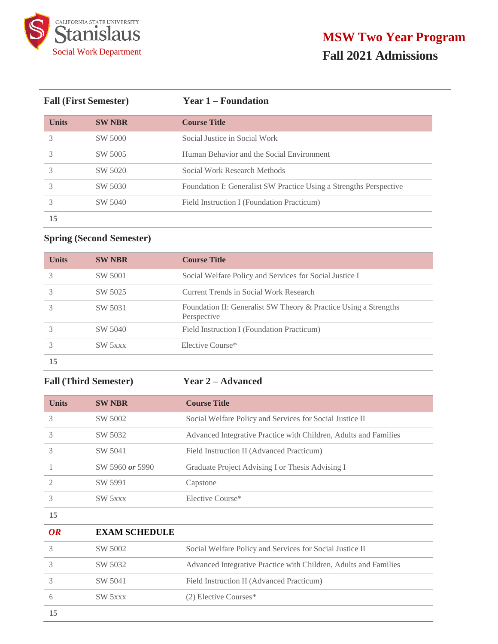

| <b>Fall (First Semester)</b> |               | <b>Year 1 – Foundation</b>                                         |  |
|------------------------------|---------------|--------------------------------------------------------------------|--|
| <b>Units</b>                 | <b>SW NBR</b> | <b>Course Title</b>                                                |  |
| 3                            | SW 5000       | Social Justice in Social Work                                      |  |
|                              | SW 5005       | Human Behavior and the Social Environment                          |  |
| 3                            | SW 5020       | Social Work Research Methods                                       |  |
|                              | SW 5030       | Foundation I: Generalist SW Practice Using a Strengths Perspective |  |
|                              | SW 5040       | Field Instruction I (Foundation Practicum)                         |  |
| 15                           |               |                                                                    |  |

# **Spring (Second Semester)**

| <b>Units</b> | <b>SW NBR</b> | <b>Course Title</b>                                                             |
|--------------|---------------|---------------------------------------------------------------------------------|
|              | SW 5001       | Social Welfare Policy and Services for Social Justice I                         |
|              | SW 5025       | Current Trends in Social Work Research                                          |
|              | SW 5031       | Foundation II: Generalist SW Theory & Practice Using a Strengths<br>Perspective |
|              | SW 5040       | Field Instruction I (Foundation Practicum)                                      |
|              | SW 5xxx       | Elective Course*                                                                |
| 15           |               |                                                                                 |

# **Fall (Third Semester) Year 2 – Advanced**

| <b>Units</b> | <b>SW NBR</b>        | <b>Course Title</b>                                              |  |  |
|--------------|----------------------|------------------------------------------------------------------|--|--|
| 3            | SW 5002              | Social Welfare Policy and Services for Social Justice II         |  |  |
| 3            | SW 5032              | Advanced Integrative Practice with Children, Adults and Families |  |  |
| 3            | SW 5041              | Field Instruction II (Advanced Practicum)                        |  |  |
| 1            | SW 5960 or 5990      | Graduate Project Advising I or Thesis Advising I                 |  |  |
| 2            | SW 5991              | Capstone                                                         |  |  |
| 3            | SW 5xxx              | Elective Course*                                                 |  |  |
| 15           |                      |                                                                  |  |  |
| <b>OR</b>    | <b>EXAM SCHEDULE</b> |                                                                  |  |  |
| 3            | SW 5002              | Social Welfare Policy and Services for Social Justice II         |  |  |
| 3            | SW 5032              | Advanced Integrative Practice with Children, Adults and Families |  |  |
| 3            | SW 5041              | Field Instruction II (Advanced Practicum)                        |  |  |
| 6            | SW 5xxx              | (2) Elective Courses*                                            |  |  |
| 15           |                      |                                                                  |  |  |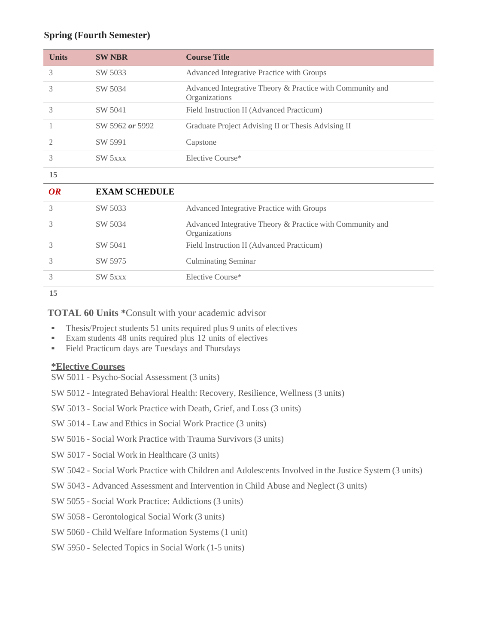## **Spring (Fourth Semester)**

| <b>Units</b> | <b>SW NBR</b>        | <b>Course Title</b>                                                        |
|--------------|----------------------|----------------------------------------------------------------------------|
| 3            | SW 5033              | Advanced Integrative Practice with Groups                                  |
| 3            | SW 5034              | Advanced Integrative Theory & Practice with Community and<br>Organizations |
| 3            | SW 5041              | Field Instruction II (Advanced Practicum)                                  |
| 1            | SW 5962 or 5992      | Graduate Project Advising II or Thesis Advising II                         |
| 2            | SW 5991              | Capstone                                                                   |
| 3            | SW 5xxx              | Elective Course*                                                           |
| 15           |                      |                                                                            |
| <b>OR</b>    | <b>EXAM SCHEDULE</b> |                                                                            |
| 3            | SW 5033              | Advanced Integrative Practice with Groups                                  |
| 3            | SW 5034              | Advanced Integrative Theory & Practice with Community and<br>Organizations |
| 3            | SW 5041              | Field Instruction II (Advanced Practicum)                                  |
| 3            | SW 5975              | <b>Culminating Seminar</b>                                                 |
| 3            | <b>SW 5xxx</b>       | Elective Course*                                                           |
| 15           |                      |                                                                            |

**TOTAL 60 Units \***Consult with your academic advisor

- **•** Thesis/Project students 51 units required plus 9 units of electives
- Exam students 48 units required plus 12 units of electives
- Field Practicum days are Tuesdays and Thursdays

## **\*Elective Courses**

- SW 5011 Psycho-Social Assessment (3 units)
- SW 5012 Integrated Behavioral Health: Recovery, Resilience, Wellness (3 units)
- SW 5013 Social Work Practice with Death, Grief, and Loss (3 units)
- SW 5014 Law and Ethics in Social Work Practice (3 units)
- SW 5016 Social Work Practice with Trauma Survivors (3 units)
- SW 5017 Social Work in Healthcare (3 units)
- SW 5042 Social Work Practice with Children and Adolescents Involved in the Justice System (3 units)
- SW 5043 Advanced Assessment and Intervention in Child Abuse and Neglect (3 units)
- SW 5055 Social Work Practice: Addictions (3 units)
- SW 5058 Gerontological Social Work (3 units)
- SW 5060 Child Welfare Information Systems (1 unit)
- SW 5950 Selected Topics in Social Work (1-5 units)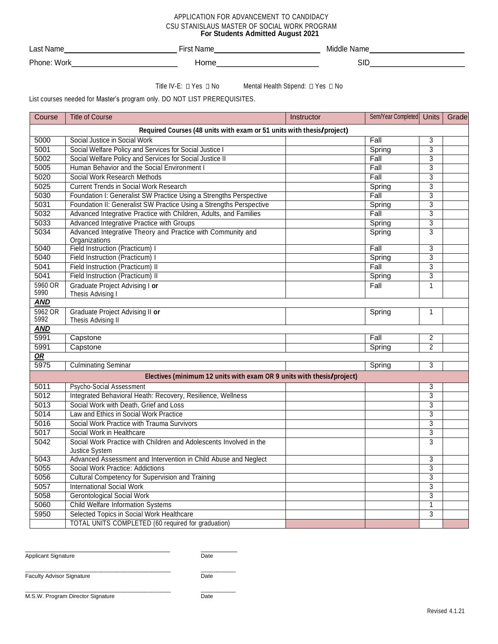### APPLICATION FOR ADVANCEMENT TO CANDIDACY CSU STANISLAUS MASTER OF SOCIAL WORK PROGRAM **For Students Admitted August 2021**

| Last           | <b>N<sub>I</sub></b> | Middle     |
|----------------|----------------------|------------|
| Nam∈           | Nallie               | Name       |
| Phone:<br>Work | Home                 | <b>SID</b> |

Title IV-E:  $\Box$  Yes  $\Box$  No Mental Health Stipend:  $\Box$  Yes  $\Box$  No

List courses needed for Master's program only. DO NOT LIST PREREQUISITES.

| Course                                                                | <b>Title of Course</b>                                                               | Instructor | Sem/Year Completed Units |                | Grade |  |
|-----------------------------------------------------------------------|--------------------------------------------------------------------------------------|------------|--------------------------|----------------|-------|--|
| Required Courses (48 units with exam or 51 units with thesis/project) |                                                                                      |            |                          |                |       |  |
| 5000                                                                  | Social Justice in Social Work                                                        |            | Fall                     | 3              |       |  |
| 5001                                                                  | Social Welfare Policy and Services for Social Justice I                              |            | Spring                   | $\overline{3}$ |       |  |
| 5002                                                                  | Social Welfare Policy and Services for Social Justice II                             |            | Fall                     | $\overline{3}$ |       |  |
| 5005                                                                  | Human Behavior and the Social Environment I                                          |            | Fall                     | 3              |       |  |
| 5020                                                                  | Social Work Research Methods                                                         |            | Fall                     | 3              |       |  |
| 5025                                                                  | <b>Current Trends in Social Work Research</b>                                        |            | Spring                   | $\overline{3}$ |       |  |
| 5030                                                                  | Foundation I: Generalist SW Practice Using a Strengths Perspective                   |            | Fall                     | 3              |       |  |
| 5031                                                                  | Foundation II: Generalist SW Practice Using a Strengths Perspective                  |            | Spring                   | $\overline{3}$ |       |  |
| 5032                                                                  | Advanced Integrative Practice with Children, Adults, and Families                    |            | Fall                     | 3              |       |  |
| 5033                                                                  | Advanced Integrative Practice with Groups                                            |            | Spring                   | $\overline{3}$ |       |  |
| 5034                                                                  | Advanced Integrative Theory and Practice with Community and<br>Organizations         |            | Spring                   | $\overline{3}$ |       |  |
| 5040                                                                  | Field Instruction (Practicum) I                                                      |            | Fall                     | $\overline{3}$ |       |  |
| 5040                                                                  | Field Instruction (Practicum) I                                                      |            | Spring                   | 3              |       |  |
| 5041                                                                  | Field Instruction (Practicum) II                                                     |            | Fall                     | 3              |       |  |
| 5041                                                                  | Field Instruction (Practicum) II                                                     |            | Spring                   | $\overline{3}$ |       |  |
| 5960 OR<br>5990                                                       | Graduate Project Advising I or<br>Thesis Advising I                                  |            | Fall                     | $\mathbf{1}$   |       |  |
| <b>AND</b>                                                            |                                                                                      |            |                          |                |       |  |
| 5962 OR<br>5992                                                       | Graduate Project Advising II or<br>Thesis Advising II                                |            | Spring                   | 1              |       |  |
| <b>AND</b>                                                            |                                                                                      |            |                          |                |       |  |
| 5991                                                                  | Capstone                                                                             |            | Fall                     | $\overline{2}$ |       |  |
| 5991                                                                  | Capstone                                                                             |            | Spring                   | $\overline{2}$ |       |  |
| OR                                                                    |                                                                                      |            |                          |                |       |  |
| 5975                                                                  | <b>Culminating Seminar</b>                                                           |            | Spring                   | 3              |       |  |
|                                                                       | Electives (minimum 12 units with exam OR 9 units with thesis/project)                |            |                          |                |       |  |
| 5011                                                                  | Psycho-Social Assessment                                                             |            |                          | 3              |       |  |
| 5012                                                                  | Integrated Behavioral Heath: Recovery, Resilience, Wellness                          |            |                          | 3              |       |  |
| 5013                                                                  | Social Work with Death, Grief and Loss                                               |            |                          | $\overline{3}$ |       |  |
| 5014                                                                  | Law and Ethics in Social Work Practice                                               |            |                          | $\overline{3}$ |       |  |
| 5016                                                                  | Social Work Practice with Trauma Survivors                                           |            |                          | 3              |       |  |
| 5017                                                                  | Social Work in Healthcare                                                            |            |                          | $\overline{3}$ |       |  |
| 5042                                                                  | Social Work Practice with Children and Adolescents Involved in the<br>Justice System |            |                          | $\overline{3}$ |       |  |
| 5043                                                                  | Advanced Assessment and Intervention in Child Abuse and Neglect                      |            |                          | 3              |       |  |
| 5055                                                                  | Social Work Practice: Addictions                                                     |            |                          | $\overline{3}$ |       |  |
| 5056                                                                  | Cultural Competency for Supervision and Training                                     |            |                          | $\overline{3}$ |       |  |
| 5057                                                                  | <b>International Social Work</b>                                                     |            |                          | 3              |       |  |
| 5058                                                                  | <b>Gerontological Social Work</b>                                                    |            |                          | 3              |       |  |
| 5060                                                                  | <b>Child Welfare Information Systems</b>                                             |            |                          | 1              |       |  |
| 5950                                                                  | Selected Topics in Social Work Healthcare                                            |            |                          | 3              |       |  |
|                                                                       | <b>TOTAL UNITS COMPLETED (60 required for graduation)</b>                            |            |                          |                |       |  |

Applicant Signature Date

\_\_\_\_\_\_\_\_\_\_\_\_\_\_\_\_\_\_\_\_\_\_\_\_\_\_\_\_\_\_\_\_\_\_\_\_\_\_\_\_ \_\_\_\_\_\_\_\_\_\_

Faculty Advisor Signature Date Date

\_\_\_\_\_\_\_\_\_\_\_\_\_\_\_\_\_\_\_\_\_\_\_\_\_\_\_\_\_\_\_\_\_\_\_\_\_\_\_\_\_\_\_\_\_\_ \_\_\_\_\_\_\_\_\_\_\_

M.S.W. Program Director Signature Date

\_\_\_\_\_\_\_\_\_\_\_\_\_\_\_\_\_\_\_\_\_\_\_\_\_\_\_\_\_\_\_\_\_\_\_\_\_\_\_\_\_\_\_\_\_\_ \_\_\_\_\_\_\_\_\_\_\_